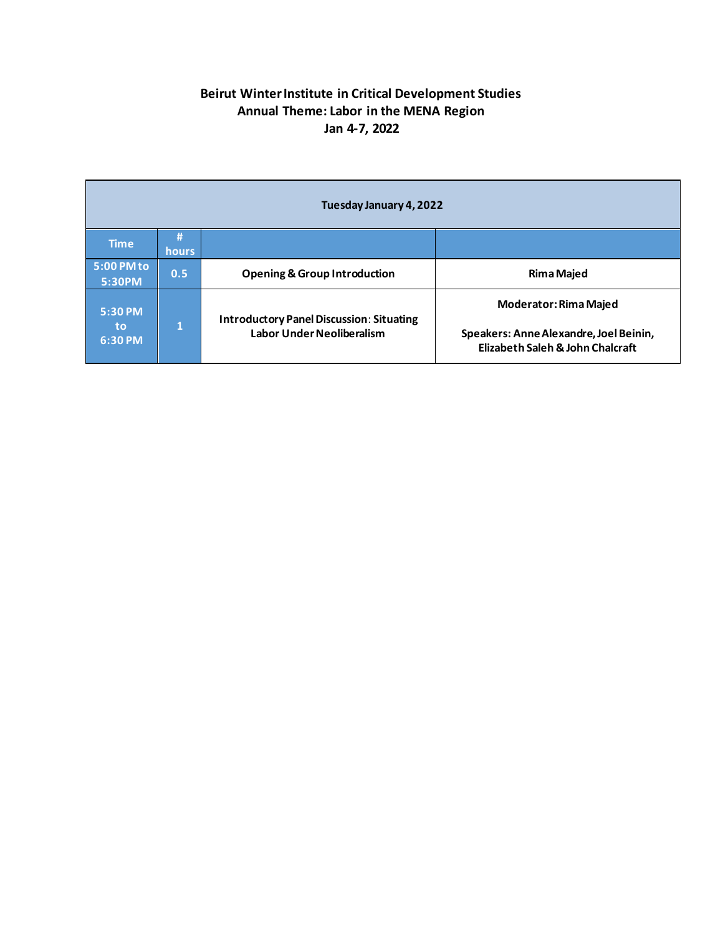## **Beirut Winter Institute in Critical Development Studies Annual Theme: Labor in the MENA Region Jan 4-7, 2022**

| Tuesday January 4, 2022    |                   |                                                                                     |                                                                            |  |
|----------------------------|-------------------|-------------------------------------------------------------------------------------|----------------------------------------------------------------------------|--|
| <b>Time</b>                | Ħ<br><b>hours</b> |                                                                                     |                                                                            |  |
| 5:00 PM to<br>5:30PM       | 0.5.              | <b>Opening &amp; Group Introduction</b>                                             | <b>Rima Majed</b>                                                          |  |
| 5:30 PM<br>to<br>$6:30$ PM | 1                 | <b>Introductory Panel Discussion: Situating</b><br><b>Labor Under Neoliberalism</b> | <b>Moderator: Rima Majed</b>                                               |  |
|                            |                   |                                                                                     | Speakers: Anne Alexandre, Joel Beinin,<br>Elizabeth Saleh & John Chalcraft |  |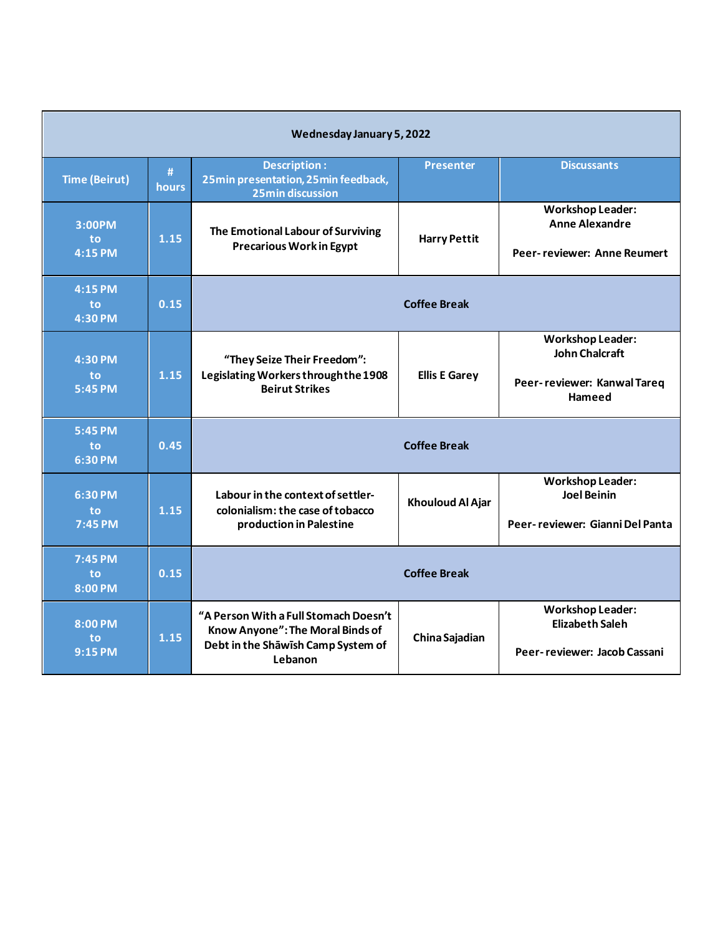| Wednesday January 5, 2022      |            |                                                                                                                            |                         |                                                                                           |
|--------------------------------|------------|----------------------------------------------------------------------------------------------------------------------------|-------------------------|-------------------------------------------------------------------------------------------|
| <b>Time (Beirut)</b>           | #<br>hours | <b>Description:</b><br>25min presentation, 25min feedback,<br><b>25min discussion</b>                                      | <b>Presenter</b>        | <b>Discussants</b>                                                                        |
| 3:00PM<br><b>to</b><br>4:15 PM | 1.15       | The Emotional Labour of Surviving<br><b>Precarious Work in Egypt</b>                                                       | <b>Harry Pettit</b>     | <b>Workshop Leader:</b><br><b>Anne Alexandre</b><br>Peer-reviewer: Anne Reumert           |
| $4:15$ PM<br>to<br>4:30 PM     | 0.15       | <b>Coffee Break</b>                                                                                                        |                         |                                                                                           |
| 4:30 PM<br>to<br>5:45 PM       | 1.15       | "They Seize Their Freedom":<br>Legislating Workers through the 1908<br><b>Beirut Strikes</b>                               | <b>Ellis E Garey</b>    | <b>Workshop Leader:</b><br><b>John Chalcraft</b><br>Peer-reviewer: Kanwal Tareq<br>Hameed |
| 5:45 PM<br>to<br>6:30 PM       | 0.45       |                                                                                                                            | <b>Coffee Break</b>     |                                                                                           |
| 6:30 PM<br>to<br>7:45 PM       | 1.15       | Labour in the context of settler-<br>colonialism: the case of tobacco<br>production in Palestine                           | <b>Khouloud Al Ajar</b> | <b>Workshop Leader:</b><br><b>Joel Beinin</b><br>Peer-reviewer: Gianni Del Panta          |
| 7:45 PM<br>to<br>8:00 PM       | 0.15       | <b>Coffee Break</b>                                                                                                        |                         |                                                                                           |
| 8:00 PM<br>to<br>$9:15$ PM     | 1.15       | "A Person With a Full Stomach Doesn't<br>Know Anyone": The Moral Binds of<br>Debt in the Shawish Camp System of<br>Lebanon | China Sajadian          | <b>Workshop Leader:</b><br><b>Elizabeth Saleh</b><br>Peer-reviewer: Jacob Cassani         |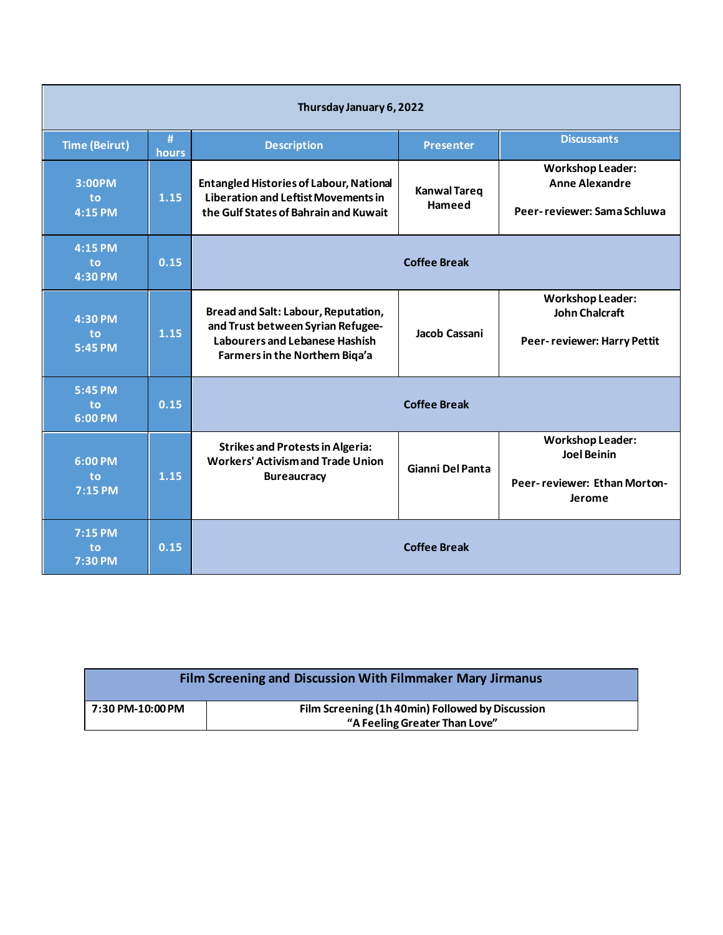| Thursday January 6, 2022   |            |                                                                                                                                                     |                               |                                                                                         |
|----------------------------|------------|-----------------------------------------------------------------------------------------------------------------------------------------------------|-------------------------------|-----------------------------------------------------------------------------------------|
| <b>Time (Beirut)</b>       | #<br>hours | <b>Description</b>                                                                                                                                  | <b>Presenter</b>              | <b>Discussants</b>                                                                      |
| 3:00PM<br>to<br>4:15 PM    | 1.15       | <b>Entangled Histories of Labour, National</b><br><b>Liberation and Leftist Movements in</b><br>the Gulf States of Bahrain and Kuwait               | <b>Kanwal Tareq</b><br>Hameed | <b>Workshop Leader:</b><br><b>Anne Alexandre</b><br>Peer-reviewer: Sama Schluwa         |
| 4:15 PM<br>to<br>4:30 PM   | 0.15       |                                                                                                                                                     | <b>Coffee Break</b>           |                                                                                         |
| 4:30 PM<br>to<br>5:45 PM   | 1.15       | Bread and Salt: Labour, Reputation,<br>and Trust between Syrian Refugee-<br><b>Labourers and Lebanese Hashish</b><br>Farmers in the Northern Biga'a | Jacob Cassani                 | <b>Workshop Leader:</b><br><b>John Chalcraft</b><br>Peer-reviewer: Harry Pettit         |
| 5:45 PM<br>to<br>6:00 PM   | 0.15       |                                                                                                                                                     | <b>Coffee Break</b>           |                                                                                         |
| 6:00 PM<br>to<br>7:15 PM   | 1.15       | <b>Strikes and Protests in Algeria:</b><br><b>Workers' Activism and Trade Union</b><br><b>Bureaucracy</b>                                           | Gianni Del Panta              | <b>Workshop Leader:</b><br><b>Joel Beinin</b><br>Peer-reviewer: Ethan Morton-<br>Jerome |
| $7:15$ PM<br>to<br>7:30 PM | 0.15       |                                                                                                                                                     | <b>Coffee Break</b>           |                                                                                         |

| Film Screening and Discussion With Filmmaker Mary Jirmanus |                                                                                   |  |  |  |
|------------------------------------------------------------|-----------------------------------------------------------------------------------|--|--|--|
| 7:30 PM-10:00 PM                                           | Film Screening (1h 40min) Followed by Discussion<br>"A Feeling Greater Than Love" |  |  |  |
|                                                            |                                                                                   |  |  |  |